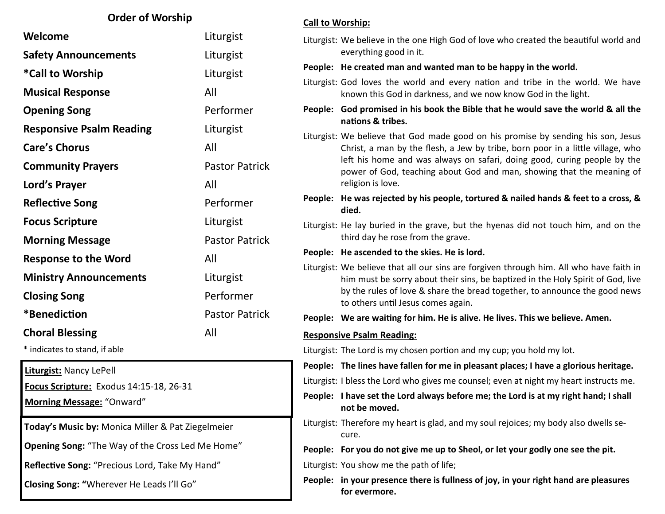### **Order of Worship**

| Welcome                         | Liturgist             |
|---------------------------------|-----------------------|
| <b>Safety Announcements</b>     | Liturgist             |
| *Call to Worship                | Liturgist             |
| <b>Musical Response</b>         | All                   |
| <b>Opening Song</b>             | Performer             |
| <b>Responsive Psalm Reading</b> | Liturgist             |
| <b>Care's Chorus</b>            | All                   |
| <b>Community Prayers</b>        | <b>Pastor Patrick</b> |
| Lord's Prayer                   | All                   |
| <b>Reflective Song</b>          | Performer             |
| <b>Focus Scripture</b>          | Liturgist             |
| <b>Morning Message</b>          | <b>Pastor Patrick</b> |
| <b>Response to the Word</b>     | All                   |
| <b>Ministry Announcements</b>   | Liturgist             |
| <b>Closing Song</b>             | Performer             |
| *Benediction                    | <b>Pastor Patrick</b> |
| <b>Choral Blessing</b>          | All                   |
|                                 |                       |

\* indicates to stand, if able

**Liturgist:** Nancy LePell

**Focus Scripture:** Exodus 14:15-18, 26-31

**Morning Message:** "Onward"

**Today's Music by:** Monica Miller & Pat Ziegelmeier

**Opening Song:** "The Way of the Cross Led Me Home"

**Reflective Song:** "Precious Lord, Take My Hand"

**Closing Song: "**Wherever He Leads I'll Go"

#### **Call to Worship:**

Liturgist: We believe in the one High God of love who created the beautiful world and everything good in it.

**People: He created man and wanted man to be happy in the world.**

Liturgist: God loves the world and every nation and tribe in the world. We have known this God in darkness, and we now know God in the light.

**People: God promised in his book the Bible that he would save the world & all the nations & tribes.**

Liturgist: We believe that God made good on his promise by sending his son, Jesus Christ, a man by the flesh, a Jew by tribe, born poor in a little village, who left his home and was always on safari, doing good, curing people by the power of God, teaching about God and man, showing that the meaning of religion is love.

**People: He was rejected by his people, tortured & nailed hands & feet to a cross, & died.**

Liturgist: He lay buried in the grave, but the hyenas did not touch him, and on the third day he rose from the grave.

**People: He ascended to the skies. He is lord.**

Liturgist: We believe that all our sins are forgiven through him. All who have faith in him must be sorry about their sins, be baptized in the Holy Spirit of God, live by the rules of love & share the bread together, to announce the good news to others until Jesus comes again.

**People: We are waiting for him. He is alive. He lives. This we believe. Amen.**

#### **Responsive Psalm Reading:**

Liturgist: The Lord is my chosen portion and my cup; you hold my lot.

**People: The lines have fallen for me in pleasant places; I have a glorious heritage.**

- Liturgist: I bless the Lord who gives me counsel; even at night my heart instructs me.
- **People: I have set the Lord always before me; the Lord is at my right hand; I shall not be moved.**
- Liturgist: Therefore my heart is glad, and my soul rejoices; my body also dwells secure.

**People: For you do not give me up to Sheol, or let your godly one see the pit.**

Liturgist: You show me the path of life;

**People: in your presence there is fullness of joy, in your right hand are pleasures for evermore.**